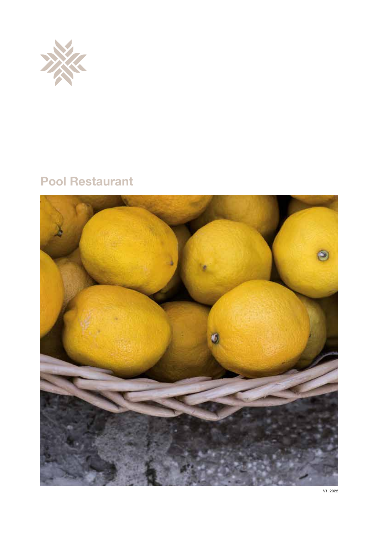

# Pool Restaurant

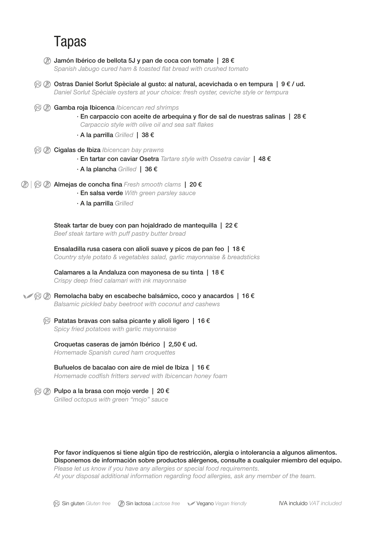# Tapas

- $\circledR$  Jamón Ibérico de bellota 5J y pan de coca con tomate | 28  $\epsilon$ Spanish Jabugo cured ham & toasted flat bread with crushed tomato
- $\mathcal{O}\left(\emptyset\right)$  Ostras Daniel Sorlut Spèciale al gusto: al natural, acevichada o en tempura | 9 € / ud. *Daniel Sorlut Spèciale oysters at your choice: fresh oyster, ceviche style or tempura*
- $\mathcal{G}(R)$  **Gamba roja Ibicenca** *Ibicencan red shrimps*  $\cdot$  En carpaccio con aceite de arbequina y flor de sal de nuestras salinas | 28  $\epsilon$ Carpaccio style with olive oil and sea salt flakes
	- · A la parrilla *Grilled* | 38 €
- **<sup><sup>6</sup> a** Cigalas de Ibiza *Ibicencan bay prawns*</sup>
	- · En tartar con caviar Osetra *Tartare style with Ossetra caviar* | 48 €
	- · A la plancha *Grilled* | 36 €
- *A*  $\otimes$  **Almejas de concha fina** *Fresh smooth clams* | 20 €
	- · En salsa verde *With green parsley sauce*
	- · A la parrilla *Grilled*

Steak tartar de buey con pan hojaldrado de mantequilla | 22 € *Beef steak tartare with puff pastry butter bread*

Ensaladilla rusa casera con alioli suave y picos de pan feo | 18  $\epsilon$ *Country style potato & vegetables salad, garlic mayonnaise & breadsticks*

Calamares a la Andaluza con mayonesa de su tinta | 18 € *Crispy deep fried calamari with ink mayonnaise*

V S ® Bemolacha baby en escabeche balsámico, coco y anacardos | 16 € *Balsamic pickled baby beetroot with coconut and cashews*

 $\circled{e}$  Patatas bravas con salsa picante y alioli ligero | 16 € *Spicy fried potatoes with garlic mayonnaise*

Croquetas caseras de jamón Ibérico | 2,50 € ud.

*Homemade Spanish cured ham croquettes*

Buñuelos de bacalao con aire de miel de Ibiza | 16 € *Homemade codsh fritters served with Ibicencan honey foam*

### <sup><sup>2</sup> ∂ Pulpo a la brasa con mojo verde | 20 €</sup>

*Grilled octopus with green "mojo" sauce*

Por favor indíquenos si tiene algún tipo de restricción, alergia o intolerancia a algunos alimentos. Disponemos de información sobre productos alérgenos, consulte a cualquier miembro del equipo. *Please let us know if you have any allergies or special food requirements. At your disposal additional information regarding food allergies, ask any member of the team.*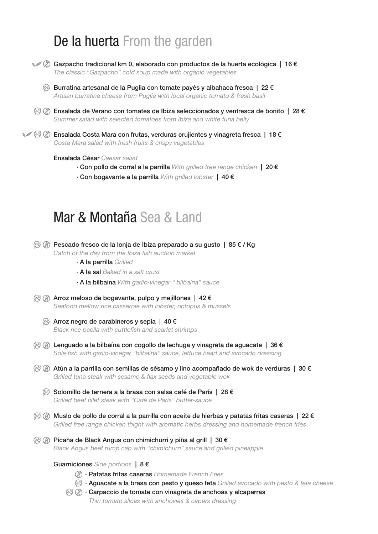# De la huerta From the garden



- $\mathcal{C} \otimes \mathbb{G}$  Gazpacho tradicional km 0, elaborado con productos de la huerta ecológica | 16 € *The classic "Gazpacho" cold soup made with organic vegetables*
	- $\mathcal{G}$  Burratina artesanal de la Puglia con tomate payés y albahaca fresca | 22 € *Artisan burratina cheese from Puglia with local organic tomato & fresh basil*
- $\hat{\mathcal{C}}$   $\emptyset$  Ensalada de Verano con tomates de Ibiza seleccionados y ventresca de bonito | 28 € *Summer salad with selected tomatoes from Ibiza and white tuna belly*
- $\mathcal{C} \otimes \mathcal{C}$  Ensalada Costa Mara con frutas, verduras crujientes y vinagreta fresca | 18 € *Costa Mara salad with fresh fruits & crispy vegetables*

#### Ensalada César *Caesar salad*

- · Con pollo de corral a la parrilla *With grilled free range chicken* | 20 €
- · Con bogavante a la parrilla *With grilled lobster* | 40 €

## Mar & Montaña Sea & Land

 $\mathcal G\subset \mathcal D$  Pescado fresco de la lonja de Ibiza preparado a su gusto | 85 € / Kg Catch of the day from the Ibiza fish auction market · A la parrilla *Grilled* · A la sal *Baked in a salt crust* · A la bilbaína *With garlic-vinegar " bilbaína" sauce* Arroz meloso de bogavante, pulpo y mejillones | 42 € *Seafood mellow rice casserole with lobster, octopus & mussels*  $\otimes$  Arroz negro de carabineros y sepia | 40 € **Black rice paella with cuttlefish and scarlet shrimps**  $\mathcal{C}(\mathcal{D})$  Lenguado a la bilbaína con cogollo de lechuga y vinagreta de aguacate | 36 € Sole fish with garlic-vinegar "bilbaína" sauce, lettuce heart and avocado dressing  $\hat{\mathcal{C}}$   $\emptyset$  Atún a la parrilla con semillas de sésamo y lino acompañado de wok de verduras | 30 € Grilled tuna steak with sesame & flax seeds and vegetable wok  $\%$  Solomillo de ternera a la brasa con salsa café de París | 28 € *Grilled beef llet steak with "Café de París" butter-sauce*  $\mathcal{G}\left(\widehat{\mathbb{Z}}\right)$  Muslo de pollo de corral a la parrilla con aceite de hierbas y patatas fritas caseras | 22 € *Grilled free range chicken thight with aromatic herbs dressing and homemade french fries*  $\mathcal{F}(\mathcal{D})$  Picaña de Black Angus con chimichurri y piña al grill | 30 € *Black Angus beef rump cap with "chimichurri" sauce and grilled pineapple* Guarniciones *Side portions* | 8 € · Patatas fritas caseras *Homemade French Fries* · Aguacate a la brasa con pesto y queso feta *Grilled avocado with pesto & feta cheese* **6 (2)** Carpaccio de tomate con vinagreta de anchoas y alcaparras  *Thin tomato slices with anchovies & capers dressing*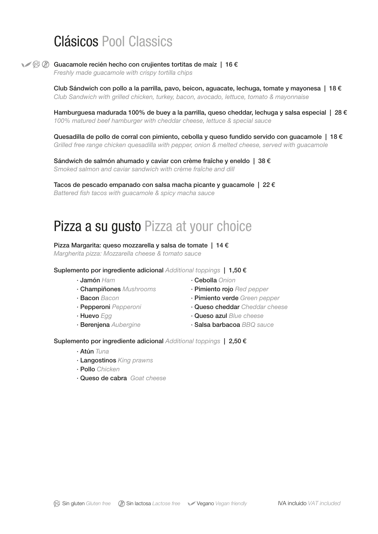# Clásicos Pool Classics

V S & Guacamole recién hecho con crujientes tortitas de maíz | 16 €

*Freshly made guacamole with crispy tortilla chips*

Club Sándwich con pollo a la parrilla, pavo, beicon, aguacate, lechuga, tomate y mayonesa | 18  $\epsilon$ *Club Sandwich with grilled chicken, turkey, bacon, avocado, lettuce, tomato & mayonnaise*

Hamburguesa madurada 100% de buey a la parrilla, queso cheddar, lechuga y salsa especial | 28 € *100% matured beef hamburger with cheddar cheese, lettuce & special sauce*

Quesadilla de pollo de corral con pimiento, cebolla y queso fundido servido con quacamole | 18 € *Grilled free range chicken quesadilla with pepper, onion & melted cheese, served with guacamole*

Sándwich de salmón ahumado y caviar con crème fraîche y eneldo | 38 € *Smoked salmon and caviar sandwich with crème fraîche and dill*

Tacos de pescado empanado con salsa macha picante y guacamole  $|22 \in$ Battered fish tacos with guacamole & spicy macha sauce

# Pizza a su gusto Pizza at your choice

#### Pizza Margarita: queso mozzarella y salsa de tomate | 14 €

*Margherita pizza: Mozzarella cheese & tomato sauce*

#### Suplemento por ingrediente adicional *Additional toppings* | 1,50 €

- 
- 
- 
- 
- 
- 
- · Jamón *Ham* · Cebolla *Onion*
- · Champiñones *Mushrooms* · Pimiento rojo *Red pepper*
- · Bacon *Bacon* · Pimiento verde *Green pepper*
- · Pepperoni *Pepperoni* · Queso cheddar *Cheddar cheese*
- · Huevo *Egg* · Queso azul *Blue cheese*
- · Berenjena *Aubergine* · Salsa barbacoa *BBQ sauce*

### Suplemento por ingrediente adicional *Additional toppings* | 2,50 €

- · Atún *Tuna*
- · Langostinos *King prawns*
- · Pollo *Chicken*
- · Queso de cabra *Goat cheese*